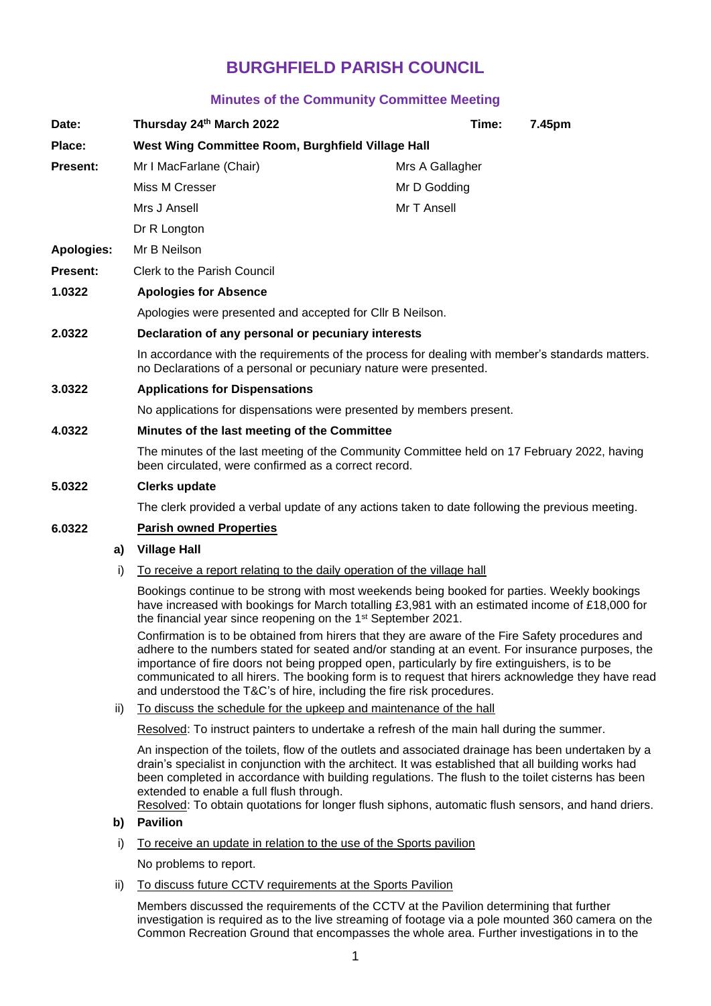# **BURGHFIELD PARISH COUNCIL**

## **Minutes of the Community Committee Meeting**

| Date:             |     | Thursday 24th March 2022                                                                                                                                                                                                                                                                                                                                                                                                                                                            | Time:           |  | 7.45pm |
|-------------------|-----|-------------------------------------------------------------------------------------------------------------------------------------------------------------------------------------------------------------------------------------------------------------------------------------------------------------------------------------------------------------------------------------------------------------------------------------------------------------------------------------|-----------------|--|--------|
| Place:            |     | West Wing Committee Room, Burghfield Village Hall                                                                                                                                                                                                                                                                                                                                                                                                                                   |                 |  |        |
| Present:          |     | Mr I MacFarlane (Chair)                                                                                                                                                                                                                                                                                                                                                                                                                                                             | Mrs A Gallagher |  |        |
|                   |     | Miss M Cresser                                                                                                                                                                                                                                                                                                                                                                                                                                                                      | Mr D Godding    |  |        |
|                   |     | Mrs J Ansell                                                                                                                                                                                                                                                                                                                                                                                                                                                                        | Mr T Ansell     |  |        |
|                   |     | Dr R Longton                                                                                                                                                                                                                                                                                                                                                                                                                                                                        |                 |  |        |
| <b>Apologies:</b> |     | Mr B Neilson                                                                                                                                                                                                                                                                                                                                                                                                                                                                        |                 |  |        |
| <b>Present:</b>   |     | Clerk to the Parish Council                                                                                                                                                                                                                                                                                                                                                                                                                                                         |                 |  |        |
| 1.0322            |     | <b>Apologies for Absence</b>                                                                                                                                                                                                                                                                                                                                                                                                                                                        |                 |  |        |
|                   |     | Apologies were presented and accepted for CIIr B Neilson.                                                                                                                                                                                                                                                                                                                                                                                                                           |                 |  |        |
| 2.0322            |     | Declaration of any personal or pecuniary interests                                                                                                                                                                                                                                                                                                                                                                                                                                  |                 |  |        |
|                   |     | In accordance with the requirements of the process for dealing with member's standards matters.<br>no Declarations of a personal or pecuniary nature were presented.                                                                                                                                                                                                                                                                                                                |                 |  |        |
| 3.0322            |     | <b>Applications for Dispensations</b>                                                                                                                                                                                                                                                                                                                                                                                                                                               |                 |  |        |
|                   |     | No applications for dispensations were presented by members present.                                                                                                                                                                                                                                                                                                                                                                                                                |                 |  |        |
| 4.0322            |     | Minutes of the last meeting of the Committee                                                                                                                                                                                                                                                                                                                                                                                                                                        |                 |  |        |
|                   |     | The minutes of the last meeting of the Community Committee held on 17 February 2022, having<br>been circulated, were confirmed as a correct record.                                                                                                                                                                                                                                                                                                                                 |                 |  |        |
| 5.0322            |     | <b>Clerks update</b>                                                                                                                                                                                                                                                                                                                                                                                                                                                                |                 |  |        |
|                   |     | The clerk provided a verbal update of any actions taken to date following the previous meeting.                                                                                                                                                                                                                                                                                                                                                                                     |                 |  |        |
| 6.0322            |     | <b>Parish owned Properties</b>                                                                                                                                                                                                                                                                                                                                                                                                                                                      |                 |  |        |
|                   | a)  | <b>Village Hall</b>                                                                                                                                                                                                                                                                                                                                                                                                                                                                 |                 |  |        |
|                   | i)  | To receive a report relating to the daily operation of the village hall                                                                                                                                                                                                                                                                                                                                                                                                             |                 |  |        |
|                   |     | Bookings continue to be strong with most weekends being booked for parties. Weekly bookings<br>have increased with bookings for March totalling £3,981 with an estimated income of £18,000 for<br>the financial year since reopening on the 1 <sup>st</sup> September 2021.                                                                                                                                                                                                         |                 |  |        |
|                   |     | Confirmation is to be obtained from hirers that they are aware of the Fire Safety procedures and<br>adhere to the numbers stated for seated and/or standing at an event. For insurance purposes, the<br>importance of fire doors not being propped open, particularly by fire extinguishers, is to be<br>communicated to all hirers. The booking form is to request that hirers acknowledge they have read<br>and understood the T&C's of hire, including the fire risk procedures. |                 |  |        |
|                   | ii) | To discuss the schedule for the upkeep and maintenance of the hall                                                                                                                                                                                                                                                                                                                                                                                                                  |                 |  |        |

Resolved: To instruct painters to undertake a refresh of the main hall during the summer.

An inspection of the toilets, flow of the outlets and associated drainage has been undertaken by a drain's specialist in conjunction with the architect. It was established that all building works had been completed in accordance with building regulations. The flush to the toilet cisterns has been extended to enable a full flush through.

Resolved: To obtain quotations for longer flush siphons, automatic flush sensors, and hand driers.

## **b) Pavilion**

i) To receive an update in relation to the use of the Sports pavilion

No problems to report.

ii) To discuss future CCTV requirements at the Sports Pavilion

Members discussed the requirements of the CCTV at the Pavilion determining that further investigation is required as to the live streaming of footage via a pole mounted 360 camera on the Common Recreation Ground that encompasses the whole area. Further investigations in to the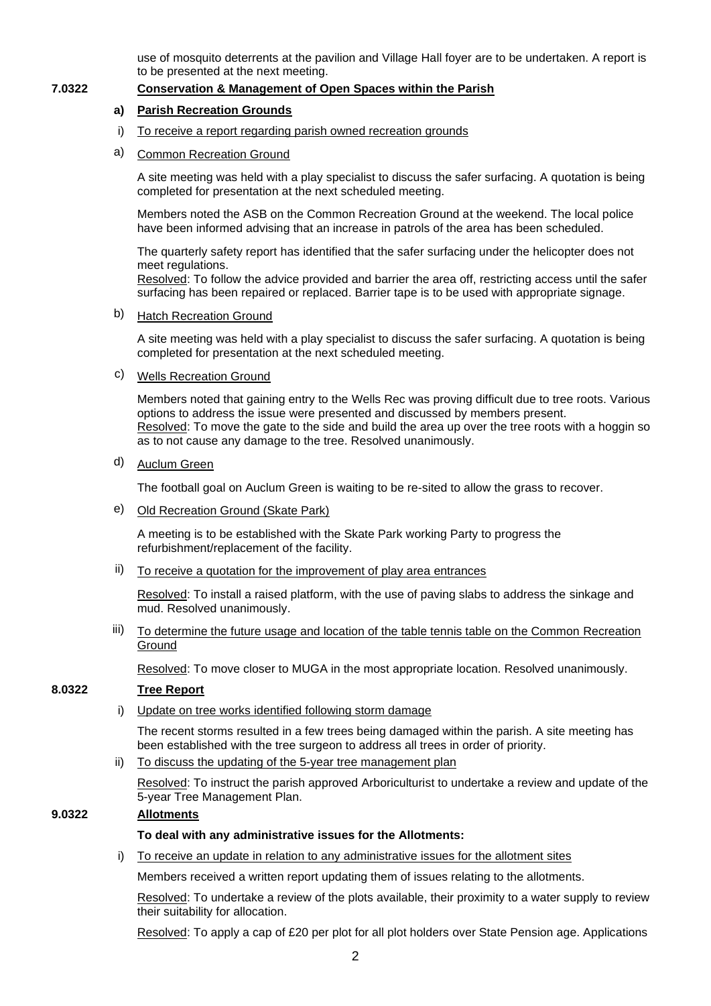use of mosquito deterrents at the pavilion and Village Hall foyer are to be undertaken. A report is to be presented at the next meeting.

### **7.0322 Conservation & Management of Open Spaces within the Parish**

## **a) Parish Recreation Grounds**

- i) To receive a report regarding parish owned recreation grounds
- a) Common Recreation Ground

A site meeting was held with a play specialist to discuss the safer surfacing. A quotation is being completed for presentation at the next scheduled meeting.

Members noted the ASB on the Common Recreation Ground at the weekend. The local police have been informed advising that an increase in patrols of the area has been scheduled.

The quarterly safety report has identified that the safer surfacing under the helicopter does not meet regulations.

Resolved: To follow the advice provided and barrier the area off, restricting access until the safer surfacing has been repaired or replaced. Barrier tape is to be used with appropriate signage.

#### b) Hatch Recreation Ground

A site meeting was held with a play specialist to discuss the safer surfacing. A quotation is being completed for presentation at the next scheduled meeting.

c) Wells Recreation Ground

Members noted that gaining entry to the Wells Rec was proving difficult due to tree roots. Various options to address the issue were presented and discussed by members present. Resolved: To move the gate to the side and build the area up over the tree roots with a hoggin so as to not cause any damage to the tree. Resolved unanimously.

d) Auclum Green

The football goal on Auclum Green is waiting to be re-sited to allow the grass to recover.

e) Old Recreation Ground (Skate Park)

A meeting is to be established with the Skate Park working Party to progress the refurbishment/replacement of the facility.

 $ii)$  To receive a quotation for the improvement of play area entrances

Resolved: To install a raised platform, with the use of paving slabs to address the sinkage and mud. Resolved unanimously.

iii) To determine the future usage and location of the table tennis table on the Common Recreation **Ground** 

Resolved: To move closer to MUGA in the most appropriate location. Resolved unanimously.

## **8.0322 Tree Report**

i) Update on tree works identified following storm damage

The recent storms resulted in a few trees being damaged within the parish. A site meeting has been established with the tree surgeon to address all trees in order of priority.

ii) To discuss the updating of the 5-year tree management plan

Resolved: To instruct the parish approved Arboriculturist to undertake a review and update of the 5-year Tree Management Plan.

## **9.0322 Allotments**

#### **To deal with any administrative issues for the Allotments:**

i) To receive an update in relation to any administrative issues for the allotment sites

Members received a written report updating them of issues relating to the allotments.

Resolved: To undertake a review of the plots available, their proximity to a water supply to review their suitability for allocation.

Resolved: To apply a cap of £20 per plot for all plot holders over State Pension age. Applications